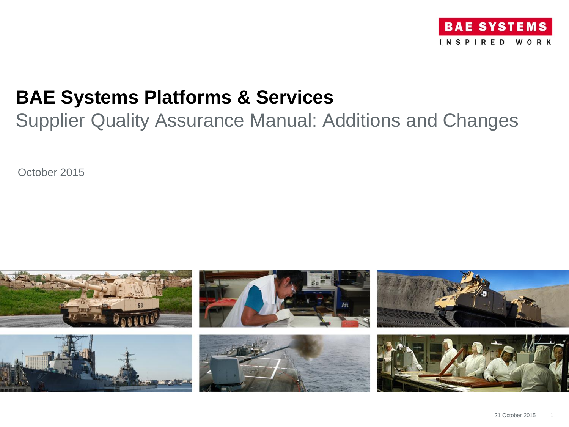

### **BAE Systems Platforms & Services**

Supplier Quality Assurance Manual: Additions and Changes

October 2015

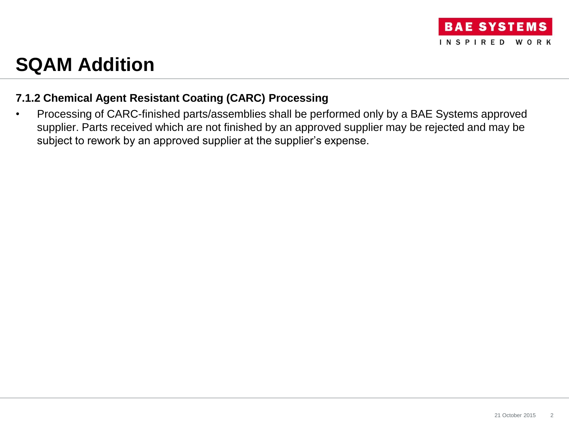

### **SQAM Addition**

### **7.1.2 Chemical Agent Resistant Coating (CARC) Processing**

• Processing of CARC-finished parts/assemblies shall be performed only by a BAE Systems approved supplier. Parts received which are not finished by an approved supplier may be rejected and may be subject to rework by an approved supplier at the supplier's expense.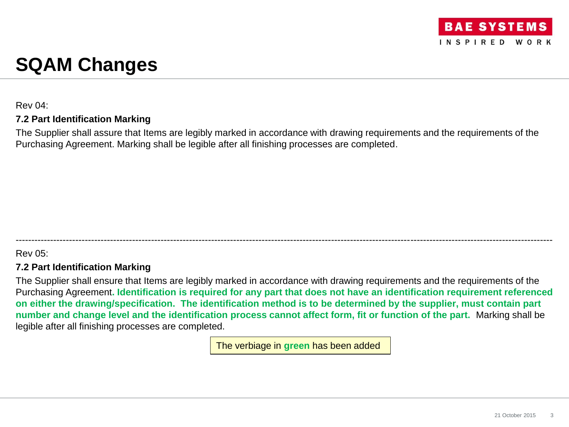## **SQAM Changes**

Rev 04:

#### **7.2 Part Identification Marking**

The Supplier shall assure that Items are legibly marked in accordance with drawing requirements and the requirements of the Purchasing Agreement. Marking shall be legible after all finishing processes are completed.

#### Rev 05:

#### **7.2 Part Identification Marking**

The Supplier shall ensure that Items are legibly marked in accordance with drawing requirements and the requirements of the Purchasing Agreement**. Identification is required for any part that does not have an identification requirement referenced on either the drawing/specification. The identification method is to be determined by the supplier, must contain part number and change level and the identification process cannot affect form, fit or function of the part.** Marking shall be legible after all finishing processes are completed.

--------------------------------------------------------------------------------------------------------------------------------------------------------------------------

The verbiage in **green** has been added